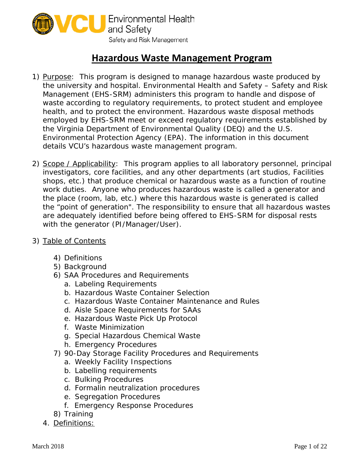

## **Hazardous Waste Management Program**

- 1) Purpose: This program is designed to manage hazardous waste produced by the university and hospital. Environmental Health and Safety – Safety and Risk Management (EHS-SRM) administers this program to handle and dispose of waste according to regulatory requirements, to protect student and employee health, and to protect the environment. Hazardous waste disposal methods employed by EHS-SRM meet or exceed regulatory requirements established by the Virginia Department of Environmental Quality (DEQ) and the U.S. Environmental Protection Agency (EPA). The information in this document details VCU's hazardous waste management program.
- *2)* Scope / Applicability: This program applies to all laboratory personnel, principal investigators, core facilities, and any other departments (art studios, Facilities shops, etc.) that produce chemical or hazardous waste as a function of routine work duties. Anyone who produces hazardous waste is called a generator and the place (room, lab, etc.) where this hazardous waste is generated is called the "point of generation". The responsibility to ensure that all hazardous wastes are adequately identified before being offered to EHS-SRM for disposal rests with the generator (PI/Manager/User).
- *3)* Table of Contents
	- 4) Definitions
	- 5) Background
	- 6) SAA Procedures and Requirements
		- a. Labeling Requirements
		- b. Hazardous Waste Container Selection
		- c. Hazardous Waste Container Maintenance and Rules
		- d. Aisle Space Requirements for SAAs
		- e. Hazardous Waste Pick Up Protocol
		- f. Waste Minimization
		- g. Special Hazardous Chemical Waste
		- h. Emergency Procedures
	- 7) 90-Day Storage Facility Procedures and Requirements
		- a. Weekly Facility Inspections
		- b. Labelling requirements
		- c. Bulking Procedures
		- d. Formalin neutralization procedures
		- e. Segregation Procedures
		- f. Emergency Response Procedures
	- 8) Training
	- 4. Definitions: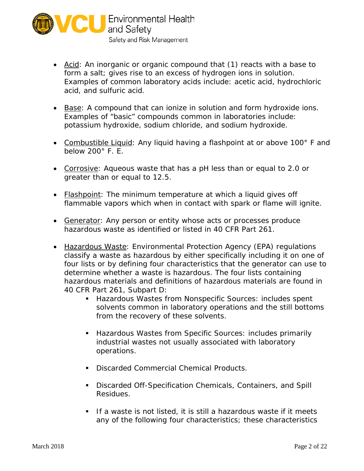

- *Acid: An inorganic or organic compound that (1) reacts with a base to form a salt; gives rise to an excess of hydrogen ions in solution. Examples of common laboratory acids include: acetic acid, hydrochloric acid, and sulfuric acid.*
- *Base: A compound that can ionize in solution and form hydroxide ions. Examples of "basic" compounds common in laboratories include: potassium hydroxide, sodium chloride, and sodium hydroxide.*
- *Combustible Liquid: Any liquid having a flashpoint at or above 100° F and below 200° F. E.*
- *Corrosive: Aqueous waste that has a pH less than or equal to 2.0 or greater than or equal to 12.5.*
- *Flashpoint: The minimum temperature at which a liquid gives off flammable vapors which when in contact with spark or flame will ignite.*
- *Generator: Any person or entity whose acts or processes produce hazardous waste as identified or listed in 40 CFR Part 261.*
- *Hazardous Waste: Environmental Protection Agency (EPA) regulations classify a waste as hazardous by either specifically including it on one of four lists or by defining four characteristics that the generator can use to determine whether a waste is hazardous. The four lists containing hazardous materials and definitions of hazardous materials are found in 40 CFR Part 261, Subpart D:*
	- *Hazardous Wastes from Nonspecific Sources: includes spent solvents common in laboratory operations and the still bottoms from the recovery of these solvents.*
	- *industrial wastes not usually associated with laboratory Hazardous Wastes from Specific Sources: includes primarily operations.*
	- *Discarded Commercial Chemical Products.*
	- *Discarded Off-Specification Chemicals, Containers, and Spill Residues.*
	- **If a waste is not listed, it is still a hazardous waste if it meets** *any of the following four characteristics; these characteristics*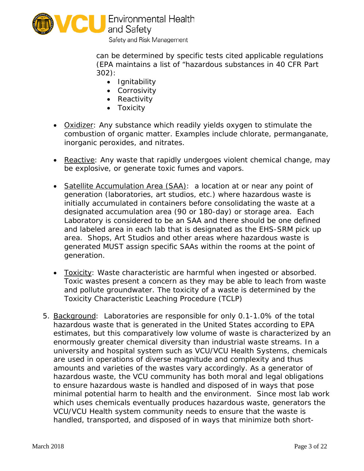

Safety and Risk Management

*can be determined by specific tests cited applicable regulations (EPA maintains a list of "hazardous substances in 40 CFR Part 302):* 

- *Ignitability*
- *Corrosivity*
- *Reactivity*
- *Toxicity*
- *Oxidizer: Any substance which readily yields oxygen to stimulate the combustion of organic matter. Examples include chlorate, permanganate, inorganic peroxides, and nitrates.*
- *Reactive: Any waste that rapidly undergoes violent chemical change, may be explosive, or generate toxic fumes and vapors.*
- *designated accumulation area (90 or 180-day) or storage area. Each* • *Satellite Accumulation Area (SAA): a location at or near any point of generation (laboratories, art studios, etc.) where hazardous waste is initially accumulated in containers before consolidating the waste at a Laboratory is considered to be an SAA and there should be one defined and labeled area in each lab that is designated as the EHS-SRM pick up area. Shops, Art Studios and other areas where hazardous waste is generated MUST assign specific SAAs within the rooms at the point of generation.*
- *Toxicity: Waste characteristic are harmful when ingested or absorbed. Toxic wastes present a concern as they may be able to leach from waste and pollute groundwater. The toxicity of a waste is determined by the Toxicity Characteristic Leaching Procedure (TCLP)*
- *5.* Background: Laboratories are responsible for only 0.1-1.0% of the total university and hospital system such as VCU/VCU Health Systems, chemicals hazardous waste, the VCU community has both moral and legal obligations minimal potential harm to health and the environment. Since most lab work hazardous waste that is generated in the United States according to EPA estimates, but this comparatively low volume of waste is characterized by an enormously greater chemical diversity than industrial waste streams. In a are used in operations of diverse magnitude and complexity and thus amounts and varieties of the wastes vary accordingly. As a generator of to ensure hazardous waste is handled and disposed of in ways that pose which uses chemicals eventually produces hazardous waste, generators the VCU/VCU Health system community needs to ensure that the waste is handled, transported, and disposed of in ways that minimize both short-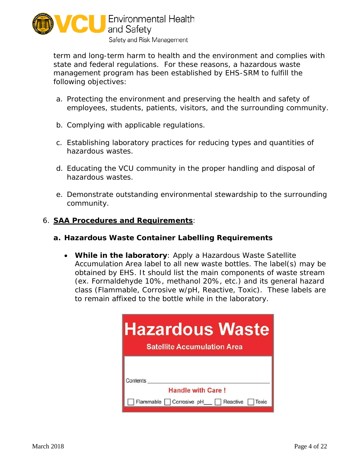

 state and federal regulations. For these reasons, a hazardous waste term and long-term harm to health and the environment and complies with management program has been established by EHS-SRM to fulfill the following objectives:

- a. Protecting the environment and preserving the health and safety of employees, students, patients, visitors, and the surrounding community.
- *b.* Complying with applicable regulations.
- *c.* Establishing laboratory practices for reducing types and quantities of hazardous wastes.
- *d.* Educating the VCU community in the proper handling and disposal of hazardous wastes.
- *e.* Demonstrate outstanding environmental stewardship to the surrounding community.

## *6.* **SAA Procedures and Requirements**:

## **a. Hazardous Waste Container Labelling Requirements**

• **While in the laboratory**: Apply a *Hazardous Waste Satellite Accumulation Area* label to all new waste bottles. The label(s) may be obtained by EHS. It should list the main components of waste stream (ex. Formaldehyde 10%, methanol 20%, etc.) and its general hazard class (Flammable, Corrosive w/pH, Reactive, Toxic). These labels are to remain affixed to the bottle while in the laboratory.

| <b>Hazardous Waste</b><br><b>Satellite Accumulation Area</b>                             |
|------------------------------------------------------------------------------------------|
| Contents<br><b>Handle with Care!</b><br>Flammable   Corrosive pH_  <br>Reactive<br>Toxic |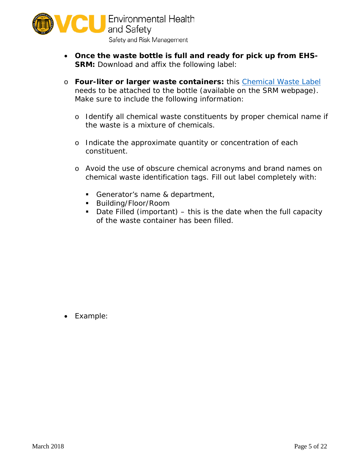

- **Once the waste bottle is full and ready for pick up from EHS-SRM:** Download and affix the following label:
- o **Four-liter or larger waste containers:** this [Chemical Waste Label](https://srm.vcu.edu/media/safety-amp-risk-management/assets/waste-management/4%20Liter%20Hazardous%20Waste%20Labels.pdf) needs to be attached to the bottle (available on the SRM webpage)*.* Make sure to include the following information:
	- o Identify all chemical waste constituents by proper chemical name if the waste is a mixture of chemicals.
	- o Indicate the approximate quantity or concentration of each constituent.
	- o Avoid the use of obscure chemical acronyms and brand names on chemical waste identification tags. Fill out label completely with:
		- *Generator's name & department,*
		- *Building/Floor/Room*
		- **•** Date Filled (important) this is the date when the full capacity *of the waste container has been filled.*

• *Example:*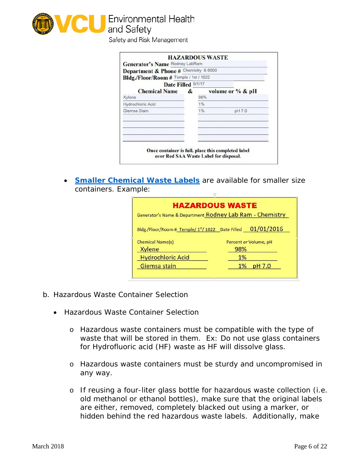

Safety and Risk Management

| Bldg./Floor/Room # Temple / 1st / 1022 |   | Department & Phone # Chemistry 8-0000 |                  |
|----------------------------------------|---|---------------------------------------|------------------|
| Date Filled 9/1/17                     |   |                                       |                  |
| <b>Chemical Name</b><br>Xylene         | & | 98%                                   | volume or % & pH |
| <b>Hydrochloric Acid</b>               |   | 1%                                    |                  |
| Giemsa Stain                           |   | 1%                                    | pH 7.0           |
|                                        |   |                                       |                  |

• *[Smaller Chemical Waste Labels](https://srm.vcu.edu/media/safety-amp-risk-management/assets/waste-management/Chemical%20Waste%20Labels_small.pdf)* are available for smaller size containers. Example:

|                          | <b>HAZARDOUS WASTE</b>                                                 |
|--------------------------|------------------------------------------------------------------------|
|                          | Generator's Name & Department Rodney Lab Ram - Chemistry               |
|                          | Bldg./Floor/Room # Temple/1 <sup>st</sup> /1022 Date Filled 01/01/2016 |
| <b>Chemical Name(s)</b>  | Percent or Volume, pH                                                  |
| <b>Xylene</b>            | 98%                                                                    |
| <b>Hydrochloric Acid</b> | 1%                                                                     |
| Giemsa stain             | pH 7.0<br>1%                                                           |

- *b.* Hazardous Waste Container Selection
	- Hazardous Waste Container Selection
		- for Hydrofluoric acid (HF) waste as HF will dissolve glass. o Hazardous waste containers must be compatible with the type of waste that will be stored in them. Ex: Do not use glass containers
		- any way. o Hazardous waste containers must be sturdy and uncompromised in
		- o If reusing a four-liter glass bottle for hazardous waste collection (i.e. old methanol or ethanol bottles), make sure that the original labels are either, removed, completely blacked out using a marker, or hidden behind the red hazardous waste labels. Additionally, make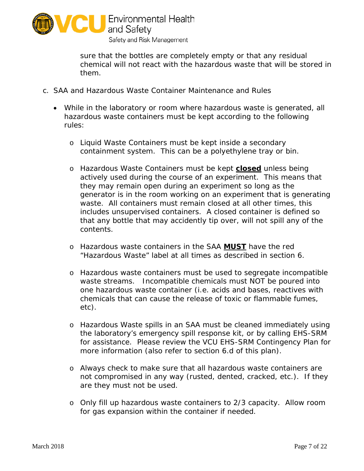

sure that the bottles are completely empty or that any residual chemical will not react with the hazardous waste that will be stored in them.

- *c.* SAA and Hazardous Waste Container Maintenance and Rules
	- While in the laboratory or room where hazardous waste is generated, all hazardous waste containers must be kept according to the following rules:
		- o Liquid Waste Containers must be kept inside a secondary containment system. This can be a polyethylene tray or bin.
		- includes unsupervised containers. A closed container is defined so o Hazardous Waste Containers must be kept **closed** unless being actively used during the course of an experiment. This means that they may remain open during an experiment so long as the generator is in the room working on an experiment that is generating waste. All containers must remain closed at all other times, this that any bottle that may accidently tip over, will not spill any of the contents.
		- "Hazardous Waste" label at all times as described in section 6. o Hazardous waste containers in the SAA **MUST** have the red
		- o Hazardous waste containers must be used to segregate incompatible waste streams. Incompatible chemicals must NOT be poured into one hazardous waste container (i.e. acids and bases, reactives with chemicals that can cause the release of toxic or flammable fumes, etc).
		- for assistance. Please review the VCU EHS-SRM Contingency Plan for o Hazardous Waste spills in an SAA must be cleaned immediately using the laboratory's emergency spill response kit, or by calling EHS-SRM more information (also refer to section 6.d of this plan).
		- o Always check to make sure that all hazardous waste containers are not compromised in any way (rusted, dented, cracked, etc.). If they are they must not be used.
		- o Only fill up hazardous waste containers to 2/3 capacity. Allow room for gas expansion within the container if needed.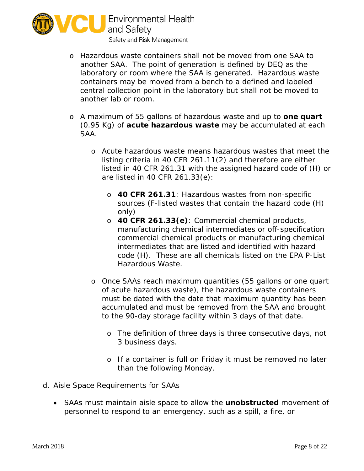

- o Hazardous waste containers shall not be moved from one SAA to another SAA. The point of generation is defined by DEQ as the containers may be moved from a bench to a defined and labeled laboratory or room where the SAA is generated. Hazardous waste central collection point in the laboratory but shall not be moved to another lab or room.
- o A maximum of 55 gallons of hazardous waste and up to **one quart**  (0.95 Kg) of **acute hazardous waste** may be accumulated at each SAA.
	- o Acute hazardous waste means hazardous wastes that meet the listing criteria in 40 CFR 261.11(2) and therefore are either listed in 40 CFR 261.31 with the assigned hazard code of (H) or are listed in 40 CFR 261.33(e):
		- o **40 CFR 261.31**: Hazardous wastes from non-specific sources (F-listed wastes that contain the hazard code (H) only)
		- o **40 CFR 261.33(e)**: Commercial chemical products, manufacturing chemical intermediates or off-specification commercial chemical products or manufacturing chemical intermediates that are listed and identified with hazard code (H). These are all chemicals listed on the EPA P-List Hazardous Waste.
	- o Once SAAs reach maximum quantities (55 gallons or one quart of acute hazardous waste), the hazardous waste containers must be dated with the date that maximum quantity has been accumulated and must be removed from the SAA and brought to the 90-day storage facility within 3 days of that date.
		- o The definition of three days is three consecutive days, not 3 business days.
		- o If a container is full on Friday it must be removed no later than the following Monday.
- *d.* Aisle Space Requirements for SAAs
	- personnel to respond to an emergency, such as a spill, a fire, or • SAAs must maintain aisle space to allow the **unobstructed** movement of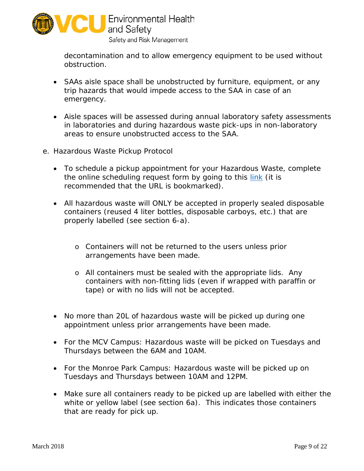

decontamination and to allow emergency equipment to be used without obstruction.

- emergency. • SAAs aisle space shall be unobstructed by furniture, equipment, or any trip hazards that would impede access to the SAA in case of an
- Aisle spaces will be assessed during annual laboratory safety assessments in laboratories and during hazardous waste pick-ups in non-laboratory areas to ensure unobstructed access to the SAA.
- *e.* Hazardous Waste Pickup Protocol
	- the online scheduling request form by going to this <u>link</u> (it is • To schedule a pickup appointment for your Hazardous Waste, complete recommended that the URL is bookmarked).
	- All hazardous waste will ONLY be accepted in properly sealed disposable containers (reused 4 liter bottles, disposable carboys, etc.) that are properly labelled (see section 6-a).
		- o Containers will not be returned to the users unless prior arrangements have been made.
		- containers with non-fitting lids (even if wrapped with paraffin or o All containers must be sealed with the appropriate lids. Any tape) or with no lids will not be accepted.
	- • No more than 20L of hazardous waste will be picked up during one appointment unless prior arrangements have been made.
	- For the MCV Campus: Hazardous waste will be picked on Tuesdays and Thursdays between the 6AM and 10AM.
	- For the Monroe Park Campus: Hazardous waste will be picked up on Tuesdays and Thursdays between 10AM and 12PM.
	- Make sure all containers ready to be picked up are labelled with either the white or yellow label (see section 6a). This indicates those containers that are ready for pick up.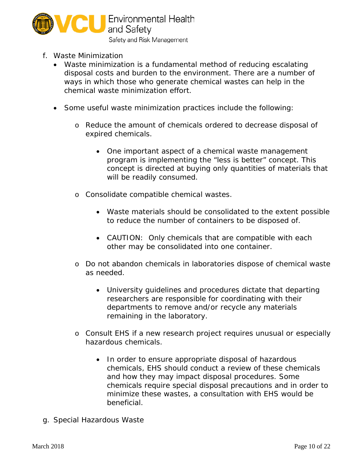

- *f.* Waste Minimization
	- Waste minimization is a fundamental method of reducing escalating disposal costs and burden to the environment. There are a number of ways in which those who generate chemical wastes can help in the chemical waste minimization effort.
	- Some useful waste minimization practices include the following:
		- o Reduce the amount of chemicals ordered to decrease disposal of expired chemicals.
			- concept is directed at buying only quantities of materials that • One important aspect of a chemical waste management program is implementing the "less is better" concept. This will be readily consumed.
		- o Consolidate compatible chemical wastes.
			- • Waste materials should be consolidated to the extent possible to reduce the number of containers to be disposed of.
			- CAUTION: Only chemicals that are compatible with each other may be consolidated into one container.
		- o Do not abandon chemicals in laboratories dispose of chemical waste as needed.
			- University guidelines and procedures dictate that departing researchers are responsible for coordinating with their departments to remove and/or recycle any materials remaining in the laboratory.
		- o Consult EHS if a new research project requires unusual or especially hazardous chemicals.
			- and how they may impact disposal procedures. Some • In order to ensure appropriate disposal of hazardous chemicals, EHS should conduct a review of these chemicals chemicals require special disposal precautions and in order to minimize these wastes, a consultation with EHS would be beneficial.
- g. Special Hazardous Waste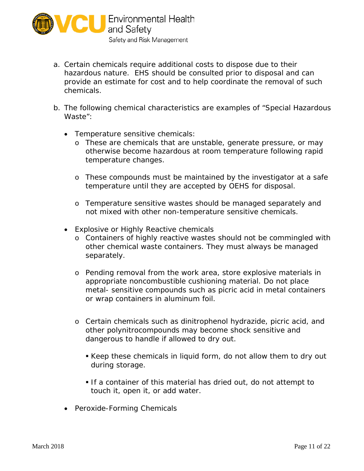

- hazardous nature. EHS should be consulted prior to disposal and can a. Certain chemicals require additional costs to dispose due to their provide an estimate for cost and to help coordinate the removal of such chemicals.
- *b.* The following chemical characteristics are examples of "Special Hazardous Waste"*:* 
	- Temperature sensitive chemicals:
		- o These are chemicals that are unstable, generate pressure, or may otherwise become hazardous at room temperature following rapid temperature changes.
		- o These compounds must be maintained by the investigator at a safe temperature until they are accepted by OEHS for disposal.
		- o Temperature sensitive wastes should be managed separately and not mixed with other non-temperature sensitive chemicals.
	- Explosive or Highly Reactive chemicals
		- o Containers of highly reactive wastes should not be commingled with other chemical waste containers. They must always be managed separately.
		- o Pending removal from the work area, store explosive materials in appropriate noncombustible cushioning material. Do not place metal- sensitive compounds such as picric acid in metal containers or wrap containers in aluminum foil.
		- o Certain chemicals such as dinitrophenol hydrazide, picric acid, and other polynitrocompounds may become shock sensitive and dangerous to handle if allowed to dry out.
			- Keep these chemicals in liquid form, do not allow them to dry out during storage.
			- If a container of this material has dried out, do not attempt to touch it, open it, or add water.
	- Peroxide-Forming Chemicals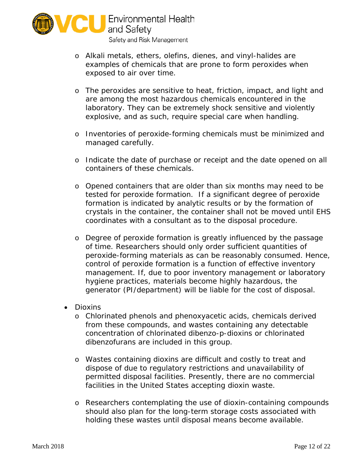

- o Alkali metals, ethers, olefins, dienes, and vinyl-halides are examples of chemicals that are prone to form peroxides when exposed to air over time.
- o The peroxides are sensitive to heat, friction, impact, and light and laboratory. They can be extremely shock sensitive and violently are among the most hazardous chemicals encountered in the explosive, and as such, require special care when handling.
- o Inventories of peroxide-forming chemicals must be minimized and managed carefully.
- o Indicate the date of purchase or receipt and the date opened on all containers of these chemicals.
- crystals in the container, the container shall not be moved until EHS coordinates with a consultant as to the disposal procedure. o Opened containers that are older than six months may need to be tested for peroxide formation. If a significant degree of peroxide formation is indicated by analytic results or by the formation of
- o Degree of peroxide formation is greatly influenced by the passage of time. Researchers should only order sufficient quantities of peroxide-forming materials as can be reasonably consumed. Hence, control of peroxide formation is a function of effective inventory management. If, due to poor inventory management or laboratory hygiene practices, materials become highly hazardous, the generator (PI/department) will be liable for the cost of disposal.
- Dioxins
	- o Chlorinated phenols and phenoxyacetic acids, chemicals derived from these compounds, and wastes containing any detectable concentration of chlorinated dibenzo-p-dioxins or chlorinated dibenzofurans are included in this group.
	- o Wastes containing dioxins are difficult and costly to treat and dispose of due to regulatory restrictions and unavailability of permitted disposal facilities. Presently, there are no commercial facilities in the United States accepting dioxin waste.
	- should also plan for the long-term storage costs associated with o Researchers contemplating the use of dioxin-containing compounds holding these wastes until disposal means become available.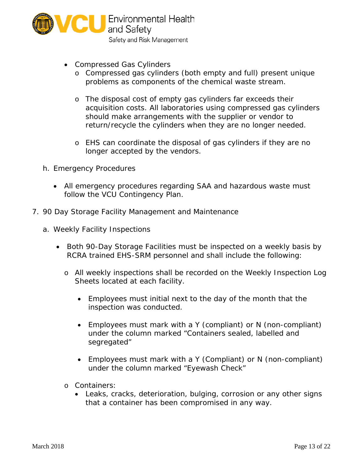

- • Compressed Gas Cylinders
	- o Compressed gas cylinders (both empty and full) present unique problems as components of the chemical waste stream.
	- o The disposal cost of empty gas cylinders far exceeds their acquisition costs. All laboratories using compressed gas cylinders should make arrangements with the supplier or vendor to return/recycle the cylinders when they are no longer needed.
	- o EHS can coordinate the disposal of gas cylinders if they are no longer accepted by the vendors.
- h. Emergency Procedures
	- All emergency procedures regarding SAA and hazardous waste must follow the VCU Contingency Plan.
- 7. 90 Day Storage Facility Management and Maintenance
	- a. Weekly Facility Inspections
		- RCRA trained EHS-SRM personnel and shall include the following: • Both 90-Day Storage Facilities must be inspected on a weekly basis by
			- o All weekly inspections shall be recorded on the Weekly Inspection Log Sheets located at each facility.
				- • Employees must initial next to the day of the month that the inspection was conducted.
				- segregated" • Employees must mark with a Y (compliant) or N (non-compliant) under the column marked "Containers sealed, labelled and
				- Employees must mark with a Y (Compliant) or N (non-compliant) under the column marked "Eyewash Check"
			- o Containers:
				- Leaks, cracks, deterioration, bulging, corrosion or any other signs that a container has been compromised in any way.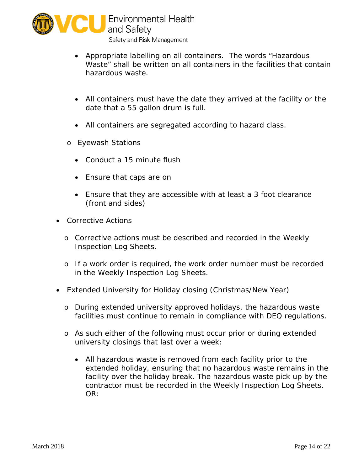

- Appropriate labelling on all containers. The words "Hazardous Waste" shall be written on all containers in the facilities that contain hazardous waste.
- • All containers must have the date they arrived at the facility or the date that a 55 gallon drum is full.
- All containers are segregated according to hazard class.
- o Eyewash Stations
	- Conduct a 15 minute flush
	- Ensure that caps are on
	- Ensure that they are accessible with at least a 3 foot clearance (front and sides)
- Corrective Actions
	- o Corrective actions must be described and recorded in the Weekly Inspection Log Sheets.
	- o If a work order is required, the work order number must be recorded in the Weekly Inspection Log Sheets.
- Extended University for Holiday closing (Christmas/New Year)
	- o During extended university approved holidays, the hazardous waste facilities must continue to remain in compliance with DEQ regulations.
	- o As such either of the following must occur prior or during extended university closings that last over a week:
		- • All hazardous waste is removed from each facility prior to the extended holiday, ensuring that no hazardous waste remains in the facility over the holiday break. The hazardous waste pick up by the contractor must be recorded in the Weekly Inspection Log Sheets. OR: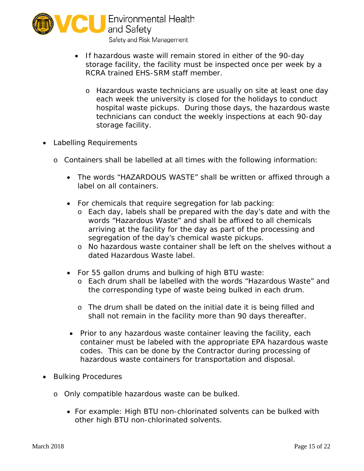

- storage facility, the facility must be inspected once per week by a • If hazardous waste will remain stored in either of the 90-day RCRA trained EHS-SRM staff member.
	- o Hazardous waste technicians are usually on site at least one day each week the university is closed for the holidays to conduct hospital waste pickups. During those days, the hazardous waste technicians can conduct the weekly inspections at each 90-day storage facility.
- Labelling Requirements
	- o Containers shall be labelled at all times with the following information:
		- The words "HAZARDOUS WASTE" shall be written or affixed through a label on all containers.
		- For chemicals that require segregation for lab packing:
			- o Each day, labels shall be prepared with the day's date and with the words "Hazardous Waste" and shall be affixed to all chemicals segregation of the day's chemical waste pickups. arriving at the facility for the day as part of the processing and
			- o No hazardous waste container shall be left on the shelves without a dated Hazardous Waste label.
		- For 55 gallon drums and bulking of high BTU waste:
			- o Each drum shall be labelled with the words "Hazardous Waste" and the corresponding type of waste being bulked in each drum.
			- o The drum shall be dated on the initial date it is being filled and shall not remain in the facility more than 90 days thereafter.
		- Prior to any hazardous waste container leaving the facility, each container must be labeled with the appropriate EPA hazardous waste codes. This can be done by the Contractor during processing of hazardous waste containers for transportation and disposal.
- Bulking Procedures
	- o Only compatible hazardous waste can be bulked.
		- For example: High BTU non-chlorinated solvents can be bulked with other high BTU non-chlorinated solvents.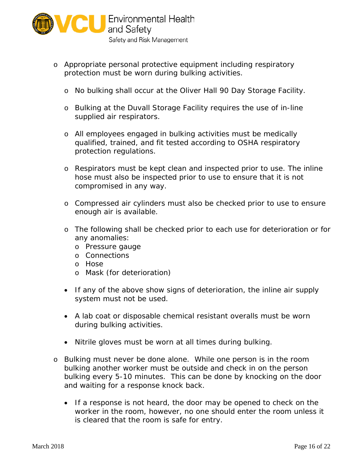

- o Appropriate personal protective equipment including respiratory protection must be worn during bulking activities.
	- o No bulking shall occur at the Oliver Hall 90 Day Storage Facility.
	- o Bulking at the Duvall Storage Facility requires the use of in-line supplied air respirators.
	- o All employees engaged in bulking activities must be medically qualified, trained, and fit tested according to OSHA respiratory protection regulations.
	- compromised in any way. o Respirators must be kept clean and inspected prior to use. The inline hose must also be inspected prior to use to ensure that it is not
	- o Compressed air cylinders must also be checked prior to use to ensure enough air is available.
	- o The following shall be checked prior to each use for deterioration or for any anomalies:
		- o Pressure gauge
		- o Connections
		- o Hose
		- o Mask (for deterioration)
	- If any of the above show signs of deterioration, the inline air supply system must not be used.
	- • A lab coat or disposable chemical resistant overalls must be worn during bulking activities.
	- Nitrile gloves must be worn at all times during bulking.
- and waiting for a response knock back. o Bulking must never be done alone. While one person is in the room bulking another worker must be outside and check in on the person bulking every 5-10 minutes. This can be done by knocking on the door
	- • If a response is not heard, the door may be opened to check on the worker in the room, however, no one should enter the room unless it is cleared that the room is safe for entry.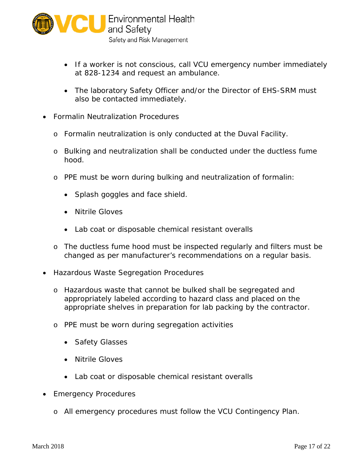

- If a worker is not conscious, call VCU emergency number immediately at 828-1234 and request an ambulance.
- The laboratory Safety Officer and/or the Director of EHS-SRM must also be contacted immediately.
- Formalin Neutralization Procedures
	- o Formalin neutralization is only conducted at the Duval Facility.
	- o Bulking and neutralization shall be conducted under the ductless fume hood.
	- o PPE must be worn during bulking and neutralization of formalin:
		- Splash goggles and face shield.
		- Nitrile Gloves
		- Lab coat or disposable chemical resistant overalls
	- o The ductless fume hood must be inspected regularly and filters must be changed as per manufacturer's recommendations on a regular basis.
- Hazardous Waste Segregation Procedures
	- appropriately labeled according to hazard class and placed on the o Hazardous waste that cannot be bulked shall be segregated and appropriate shelves in preparation for lab packing by the contractor.
	- o PPE must be worn during segregation activities
		- Safety Glasses
		- Nitrile Gloves
		- Lab coat or disposable chemical resistant overalls
- Emergency Procedures
	- o All emergency procedures must follow the VCU Contingency Plan.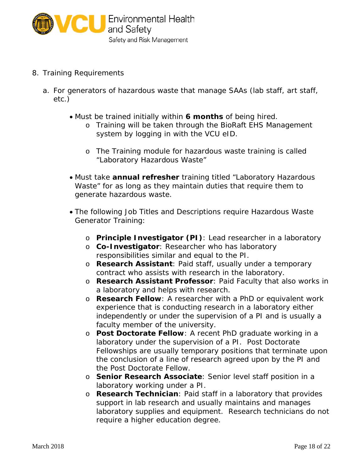

- 8. Training Requirements
	- a. For generators of hazardous waste that manage SAAs (lab staff, art staff, etc.)
		- Must be trained initially within **6 months** of being hired.
			- system by logging in with the VCU eID. o Training will be taken through the BioRaft EHS Management
			- "Laboratory Hazardous Waste" o The Training module for hazardous waste training is called
		- Must take **annual refresher** training titled "Laboratory Hazardous Waste" for as long as they maintain duties that require them to generate hazardous waste.
		- Generator Training: • The following Job Titles and Descriptions require Hazardous Waste
			- o **Principle Investigator (PI)**: Lead researcher in a laboratory
			- o **Co-Investigator**: Researcher who has laboratory responsibilities similar and equal to the PI.
			- o **Research Assistant**: Paid staff, usually under a temporary contract who assists with research in the laboratory.
			- o **Research Assistant Professor**: Paid Faculty that also works in a laboratory and helps with research.
			- o **Research Fellow**: A researcher with a PhD or equivalent work experience that is conducting research in a laboratory either independently or under the supervision of a PI and is usually a faculty member of the university.
			- laboratory under the supervision of a PI. Post Doctorate o **Post Doctorate Fellow**: A recent PhD graduate working in a Fellowships are usually temporary positions that terminate upon the conclusion of a line of research agreed upon by the PI and the Post Doctorate Fellow.
			- o **Senior Research Associate**: Senior level staff position in a laboratory working under a PI.
			- o **Research Technician**: Paid staff in a laboratory that provides support in lab research and usually maintains and manages laboratory supplies and equipment. Research technicians do not require a higher education degree.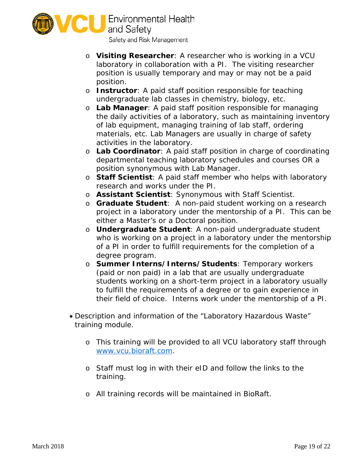

- o **Visiting Researcher**: A researcher who is working in a VCU position is usually temporary and may or may not be a paid laboratory in collaboration with a PI. The visiting researcher position.
- o **Instructor**: A paid staff position responsible for teaching undergraduate lab classes in chemistry, biology, etc.
- o **Lab Manager**: A paid staff position responsible for managing the daily activities of a laboratory, such as maintaining inventory of lab equipment, managing training of lab staff, ordering materials, etc. Lab Managers are usually in charge of safety activities in the laboratory.
- o **Lab Coordinator**: A paid staff position in charge of coordinating departmental teaching laboratory schedules and courses OR a position synonymous with Lab Manager.
- o **Staff Scientist**: A paid staff member who helps with laboratory research and works under the PI.
- o **Assistant Scientist**: Synonymous with Staff Scientist.
- o **Graduate Student**: A non-paid student working on a research project in a laboratory under the mentorship of a PI. This can be either a Master's or a Doctoral position.
- o **Undergraduate Student**: A non-paid undergraduate student who is working on a project in a laboratory under the mentorship of a PI in order to fulfill requirements for the completion of a degree program.
- their field of choice. Interns work under the mentorship of a PI. o **Summer Interns/Interns/Students**: Temporary workers (paid or non paid) in a lab that are usually undergraduate students working on a short-term project in a laboratory usually to fulfill the requirements of a degree or to gain experience in
- Description and information of the "Laboratory Hazardous Waste" training module.
	- o This training will be provided to all VCU laboratory staff through [www.vcu.bioraft.com.](http://www.vcu.bioraft.com/)
	- o Staff must log in with their eID and follow the links to the training.
	- o All training records will be maintained in BioRaft.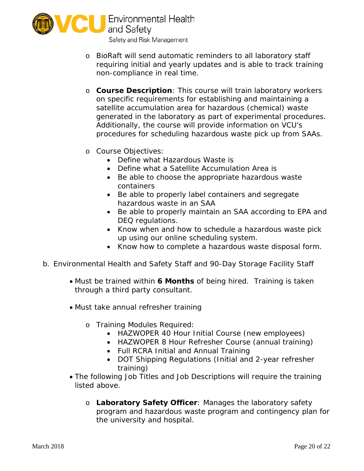

- requiring initial and yearly updates and is able to track training o BioRaft will send automatic reminders to all laboratory staff non-compliance in real time.
- generated in the laboratory as part of experimental procedures. procedures for scheduling hazardous waste pick up from SAAs. o **Course Description**: This course will train laboratory workers on specific requirements for establishing and maintaining a satellite accumulation area for hazardous (chemical) waste Additionally, the course will provide information on VCU's
- o Course Objectives:
	- Define what Hazardous Waste is
	- Define what a Satellite Accumulation Area is
	- Be able to choose the appropriate hazardous waste containers
	- Be able to properly label containers and segregate hazardous waste in an SAA
	- Be able to properly maintain an SAA according to EPA and DEQ regulations.
	- Know when and how to schedule a hazardous waste pick up using our online scheduling system.
	- Know how to complete a hazardous waste disposal form.
- b. Environmental Health and Safety Staff and 90-Day Storage Facility Staff
	- Must be trained within **6 Months** of being hired. Training is taken through a third party consultant.
	- Must take annual refresher training
		- o Training Modules Required:
			- HAZWOPER 40 Hour Initial Course (new employees)
			- HAZWOPER 8 Hour Refresher Course (annual training)
			- Full RCRA Initial and Annual Training
			- DOT Shipping Regulations (Initial and 2-year refresher training)
	- The following Job Titles and Job Descriptions will require the training listed above.
		- program and hazardous waste program and contingency plan for o **Laboratory Safety Officer**: Manages the laboratory safety the university and hospital.